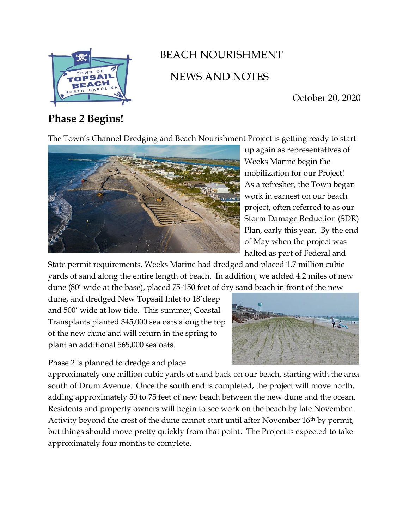

# BEACH NOURISHMENT NEWS AND NOTES

October 20, 2020

## **Phase 2 Begins!**

The Town's Channel Dredging and Beach Nourishment Project is getting ready to start



up again as representatives of Weeks Marine begin the mobilization for our Project! As a refresher, the Town began work in earnest on our beach project, often referred to as our Storm Damage Reduction (SDR) Plan, early this year. By the end of May when the project was halted as part of Federal and

State permit requirements, Weeks Marine had dredged and placed 1.7 million cubic yards of sand along the entire length of beach. In addition, we added 4.2 miles of new dune (80' wide at the base), placed 75-150 feet of dry sand beach in front of the new

dune, and dredged New Topsail Inlet to 18'deep and 500' wide at low tide. This summer, Coastal Transplants planted 345,000 sea oats along the top of the new dune and will return in the spring to plant an additional 565,000 sea oats.

Phase 2 is planned to dredge and place



approximately one million cubic yards of sand back on our beach, starting with the area south of Drum Avenue. Once the south end is completed, the project will move north, adding approximately 50 to 75 feet of new beach between the new dune and the ocean. Residents and property owners will begin to see work on the beach by late November. Activity beyond the crest of the dune cannot start until after November 16<sup>th</sup> by permit, but things should move pretty quickly from that point. The Project is expected to take approximately four months to complete.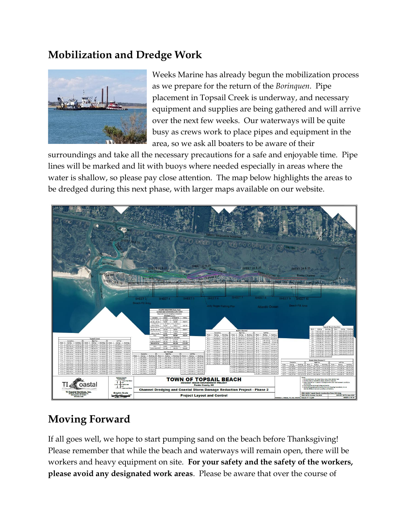## **Mobilization and Dredge Work**



Weeks Marine has already begun the mobilization process as we prepare for the return of the *Borinquen.* Pipe placement in Topsail Creek is underway, and necessary equipment and supplies are being gathered and will arrive over the next few weeks. Our waterways will be quite busy as crews work to place pipes and equipment in the area, so we ask all boaters to be aware of their

surroundings and take all the necessary precautions for a safe and enjoyable time. Pipe lines will be marked and lit with buoys where needed especially in areas where the water is shallow, so please pay close attention. The map below highlights the areas to be dredged during this next phase, with larger maps available on our website.



### **Moving Forward**

If all goes well, we hope to start pumping sand on the beach before Thanksgiving! Please remember that while the beach and waterways will remain open, there will be workers and heavy equipment on site. **For your safety and the safety of the workers, please avoid any designated work areas**. Please be aware that over the course of